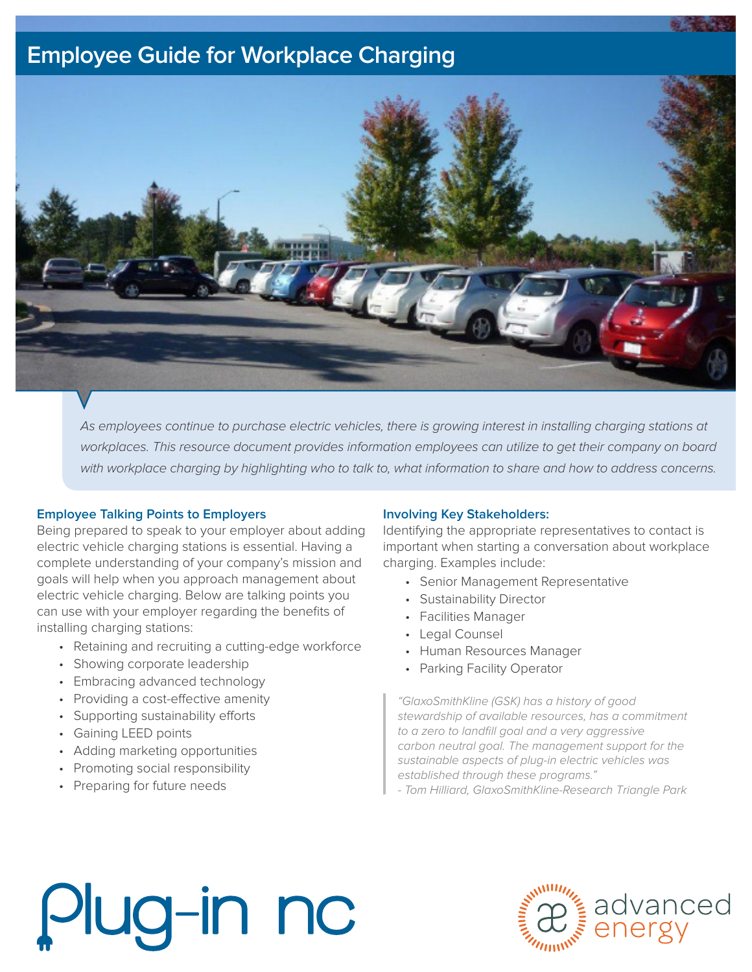### **Employee Guide for Workplace Charging**



As employees continue to purchase electric vehicles, there is growing interest in installing charging stations at workplaces. This resource document provides information employees can utilize to get their company on board with workplace charging by highlighting who to talk to, what information to share and how to address concerns.

#### **Employee Talking Points to Employers**

Being prepared to speak to your employer about adding electric vehicle charging stations is essential. Having a complete understanding of your company's mission and goals will help when you approach management about electric vehicle charging. Below are talking points you can use with your employer regarding the benefits of installing charging stations:

- Retaining and recruiting a cutting-edge workforce
- Showing corporate leadership
- Embracing advanced technology
- Providing a cost-effective amenity
- Supporting sustainability efforts
- Gaining LEED points
- Adding marketing opportunities
- Promoting social responsibility
- Preparing for future needs

#### **Involving Key Stakeholders:**

Identifying the appropriate representatives to contact is important when starting a conversation about workplace charging. Examples include:

- Senior Management Representative
- Sustainability Director
- Facilities Manager
- Legal Counsel
- Human Resources Manager
- Parking Facility Operator

"GlaxoSmithKline (GSK) has a history of good stewardship of available resources, has a commitment to a zero to landfill goal and a very aggressive carbon neutral goal. The management support for the sustainable aspects of plug-in electric vehicles was established through these programs."

- Tom Hilliard, GlaxoSmithKline-Research Triangle Park

## Plug-in nc

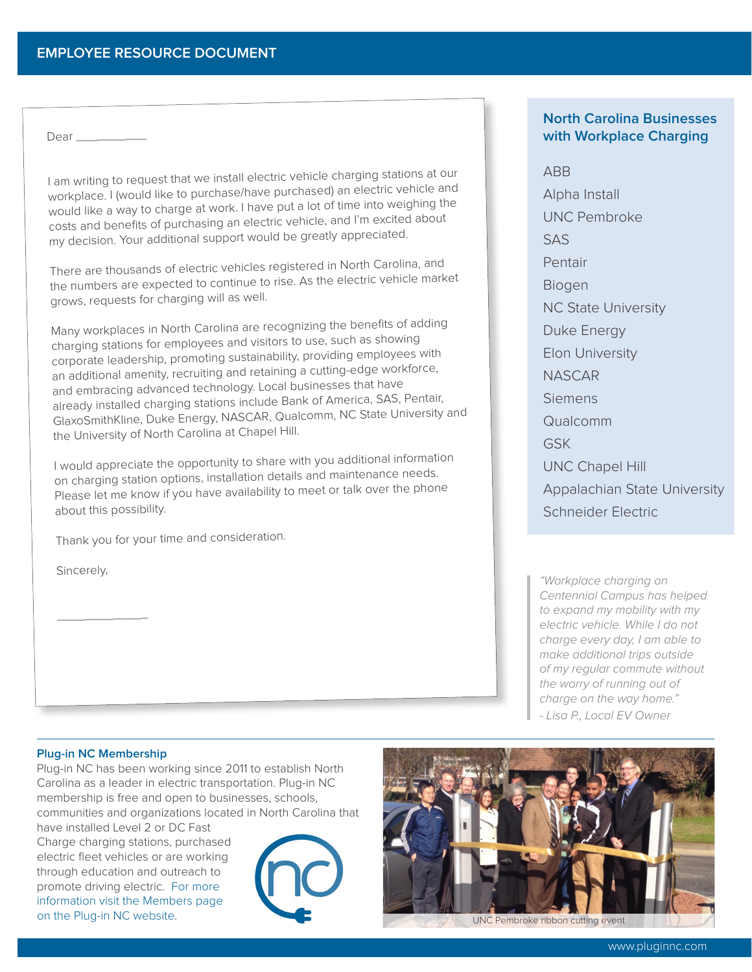Dear \_\_\_\_\_\_\_\_\_\_

I am writing to request that we install electric vehicle charging stations at our workplace. I (would like to purchase/have purchased) an electric vehicle and would like a way to charge at work. I have put a lot of time into weighing the costs and benefits of purchasing an electric vehicle, and I'm excited about my decision. Your additional support would be greatly appreciated.

There are thousands of electric vehicles registered in North Carolina, and the numbers are expected to continue to rise. As the electric vehicle market grows, requests for charging will as well.

Many workplaces in North Carolina are recognizing the benefits of adding charging stations for employees and visitors to use, such as showing corporate leadership, promoting sustainability, providing employees with an additional amenity, recruiting and retaining a cutting-edge workforce, and embracing advanced technology. Local businesses that have already installed charging stations include Bank of America, SAS, Pentair, GlaxoSmithKline, Duke Energy, NASCAR, Qualcomm, NC State University and the University of North Carolina at Chapel Hill.

I would appreciate the opportunity to share with you additional information on charging station options, installation details and maintenance needs. Please let me know if you have availability to meet or talk over the phone about this possibility.

Thank you for your time and consideration.

Sincerely,

#### **North Carolina Businesses with Workplace Charging**

ABB

Alpha Install UNC Pembroke SAS Pentair Biogen NC State University Duke Energy Elon University NASCAR Siemens Qualcomm GSK UNC Chapel Hill Appalachian State University Schneider Electric

"Workplace charging on Centennial Campus has helped to expand my mobility with my electric vehicle. While I do not charge every day, I am able to make additional trips outside of my regular commute without the worry of running out of charge on the way home." - Lisa P., Local EV Owner

#### **Plug-in NC Membership**

\_\_\_\_\_\_\_\_\_\_\_\_\_

Plug-in NC has been working since 2011 to establish North Carolina as a leader in electric transportation. Plug-in NC membership is free and open to businesses, schools, communities and organizations located in North Carolina that

have installed Level 2 or DC Fast Charge charging stations, purchased electric fleet vehicles or are working through education and outreach to promote driving electric. For more [information visit the Members page](http://www.pluginnc.com/become-a-member/)